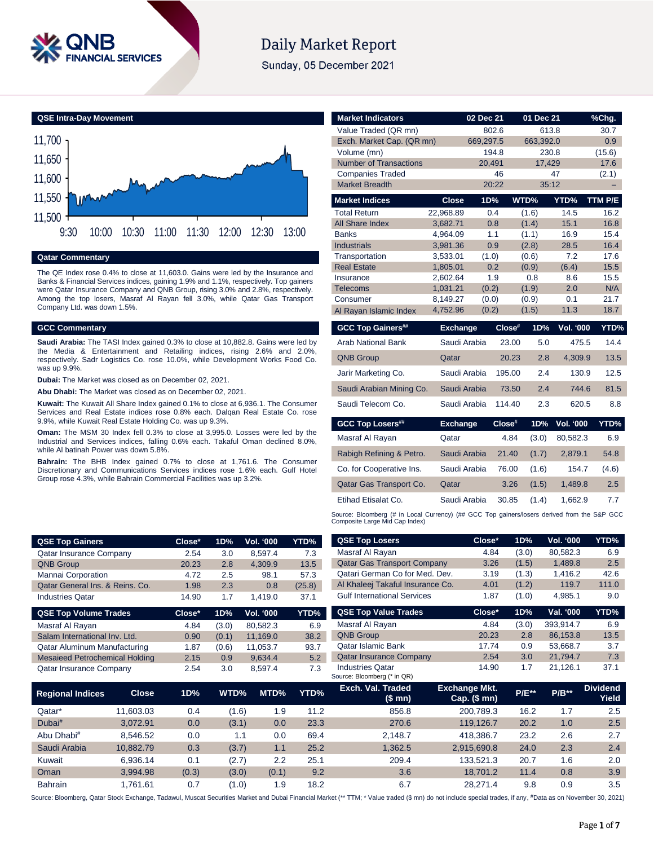

# **Daily Market Report**

Sunday, 05 December 2021

**QSE Intra-Day Movement**



**Qatar Commentary**

The QE Index rose 0.4% to close at 11,603.0. Gains were led by the Insurance and Banks & Financial Services indices, gaining 1.9% and 1.1%, respectively. Top gainers were Qatar Insurance Company and QNB Group, rising 3.0% and 2.8%, respectively. Among the top losers, Masraf Al Rayan fell 3.0%, while Qatar Gas Transport Company Ltd. was down 1.5%.

#### **GCC Commentary**

**Saudi Arabia:** The TASI Index gained 0.3% to close at 10,882.8. Gains were led by the Media & Entertainment and Retailing indices, rising 2.6% and 2.0%, respectively. Sadr Logistics Co. rose 10.0%, while Development Works Food Co. was up 9.9%.

**Dubai:** The Market was closed as on December 02, 2021.

**Abu Dhabi:** The Market was closed as on December 02, 2021.

**Kuwait:** The Kuwait All Share Index gained 0.1% to close at 6,936.1. The Consumer Services and Real Estate indices rose 0.8% each. Dalqan Real Estate Co. rose 9.9%, while Kuwait Real Estate Holding Co. was up 9.3%.

**Oman:** The MSM 30 Index fell 0.3% to close at 3,995.0. Losses were led by the Industrial and Services indices, falling 0.6% each. Takaful Oman declined 8.0%, while Al batinah Power was down 5.8%.

**Bahrain:** The BHB Index gained 0.7% to close at 1,761.6. The Consumer Discretionary and Communications Services indices rose 1.6% each. Gulf Hotel Group rose 4.3%, while Bahrain Commercial Facilities was up 3.2%.

| <b>Market Indicators</b>        |                      | 02 Dec 21  |        | 01 Dec 21    |                  | %Chq.        |
|---------------------------------|----------------------|------------|--------|--------------|------------------|--------------|
| Value Traded (QR mn)            |                      | 802.6      |        | 613.8        |                  | 30.7         |
| Exch. Market Cap. (QR mn)       |                      | 669,297.5  |        | 663,392.0    |                  | 0.9          |
| Volume (mn)                     |                      | 194.8      |        | 230.8        |                  | (15.6)       |
| <b>Number of Transactions</b>   |                      | 20.491     |        | 17,429       |                  | 17.6         |
| <b>Companies Traded</b>         |                      | 46         |        |              | 47               | (2.1)        |
| <b>Market Breadth</b>           |                      | 20:22      |        | 35:12        |                  | ۳            |
| <b>Market Indices</b>           | <b>Close</b>         | 1D%        |        | WTD%         | YTD%             | TTM P/E      |
| <b>Total Return</b>             | 22.968.89            | 0.4        |        | (1.6)        | 14.5             | 16.2         |
| <b>All Share Index</b>          | 3.682.71             | 0.8        |        | (1.4)        | 15.1             | 16.8         |
| <b>Banks</b>                    | 4,964.09             | 1.1        |        | (1.1)        | 16.9             | 15.4         |
| <b>Industrials</b>              | 3,981.36             | 0.9        |        | (2.8)        | 28.5             | 16.4         |
| Transportation                  | 3,533.01             | (1.0)      |        | (0.6)        | 7.2              | 17.6<br>15.5 |
| <b>Real Estate</b><br>Insurance | 1,805.01<br>2.602.64 | 0.2<br>1.9 |        | (0.9)<br>0.8 | (6.4)<br>8.6     | 15.5         |
| Telecoms                        | 1,031.21             | (0.2)      |        | (1.9)        | 2.0              | N/A          |
| Consumer                        | 8,149.27             | (0.0)      |        | (0.9)        | 0.1              | 21.7         |
| Al Rayan Islamic Index          | 4,752.96             | (0.2)      |        | (1.5)        | 11.3             | 18.7         |
|                                 |                      |            |        |              |                  |              |
|                                 |                      |            |        |              |                  |              |
| <b>GCC Top Gainers##</b>        | <b>Exchange</b>      |            | Close# | 1D%          | Vol. '000        |              |
| <b>Arab National Bank</b>       | Saudi Arabia         |            | 23.00  | 5.0          | 475.5            | 14.4         |
| <b>QNB Group</b>                | Qatar                |            | 20.23  | 2.8          | 4.309.9          | 13.5         |
| Jarir Marketing Co.             | Saudi Arabia         |            | 195.00 | 2.4          | 130.9            | YTD%<br>12.5 |
| Saudi Arabian Mining Co.        | Saudi Arabia         |            | 73.50  | 2.4          | 744.6            | 81.5         |
| Saudi Telecom Co.               | Saudi Arabia         |            | 114.40 | 2.3          | 620.5            | 8.8          |
| <b>GCC Top Losers##</b>         | <b>Exchange</b>      |            | Close# | 1D%          | <b>Vol. '000</b> | YTD%         |
| Masraf Al Rayan                 | Qatar                |            | 4.84   | (3.0)        | 80,582.3         | 6.9          |
| Rabigh Refining & Petro.        | Saudi Arabia         |            | 21.40  | (1.7)        | 2.879.1          | 54.8         |
| Co. for Cooperative Ins.        | Saudi Arabia         |            | 76.00  | (1.6)        | 154.7            | (4.6)        |
| Qatar Gas Transport Co.         | Qatar                |            | 3.26   | (1.5)        | 1,489.8          | 2.5          |
| Etihad Etisalat Co.             | Saudi Arabia         |            | 30.85  | (1.4)        | 1,662.9          | 7.7          |

| <b>QSE Top Gainers</b>                |              | Close* | 1D%   | <b>Vol. '000</b> | YTD%   | <b>QSE Top Losers</b>                           | Close*                               | 1D%     | Vol. '000 | YTD%                     |
|---------------------------------------|--------------|--------|-------|------------------|--------|-------------------------------------------------|--------------------------------------|---------|-----------|--------------------------|
| <b>Qatar Insurance Company</b>        |              | 2.54   | 3.0   | 8,597.4          | 7.3    | Masraf Al Rayan                                 | 4.84                                 | (3.0)   | 80,582.3  | 6.9                      |
| <b>QNB Group</b>                      |              | 20.23  | 2.8   | 4,309.9          | 13.5   | <b>Qatar Gas Transport Company</b>              | 3.26                                 | (1.5)   | 1,489.8   | 2.5                      |
| Mannai Corporation                    |              | 4.72   | 2.5   | 98.1             | 57.3   | Qatari German Co for Med. Dev.                  | 3.19                                 | (1.3)   | 1.416.2   | 42.6                     |
| Qatar General Ins. & Reins. Co.       |              | 1.98   | 2.3   | 0.8              | (25.8) | Al Khaleej Takaful Insurance Co.                | 4.01                                 | (1.2)   | 119.7     | 111.0                    |
| <b>Industries Qatar</b>               |              | 14.90  | 1.7   | 1,419.0          | 37.1   | <b>Gulf International Services</b>              | 1.87                                 | (1.0)   | 4,985.1   | 9.0                      |
| <b>QSE Top Volume Trades</b>          |              | Close* | 1D%   | Vol. '000        | YTD%   | <b>QSE Top Value Trades</b>                     | Close*                               | 1D%     | Val. '000 | <b>YTD%</b>              |
| Masraf Al Rayan                       |              | 4.84   | (3.0) | 80,582.3         | 6.9    | Masraf Al Rayan                                 | 4.84                                 | (3.0)   | 393,914.7 | 6.9                      |
| Salam International Inv. Ltd.         |              | 0.90   | (0.1) | 11.169.0         | 38.2   | <b>QNB Group</b>                                | 20.23                                | 2.8     | 86,153.8  | 13.5                     |
| Qatar Aluminum Manufacturing          |              | 1.87   | (0.6) | 11,053.7         | 93.7   | Qatar Islamic Bank                              | 17.74                                | 0.9     | 53,668.7  | 3.7                      |
| <b>Mesaieed Petrochemical Holding</b> |              | 2.15   | 0.9   | 9,634.4          | 5.2    | <b>Qatar Insurance Company</b>                  | 2.54                                 | 3.0     | 21.794.7  | 7.3                      |
| <b>Qatar Insurance Company</b>        |              | 2.54   | 3.0   | 8,597.4          | 7.3    | Industries Qatar<br>Source: Bloomberg (* in QR) | 14.90                                | 1.7     | 21,126.1  | 37.1                     |
| <b>Regional Indices</b>               | <b>Close</b> | 1D%    | WTD%  | MTD%             | YTD%   | Exch. Val. Traded<br>(\$mn)                     | <b>Exchange Mkt.</b><br>Cap. $($mn)$ | $P/E**$ | $P/B**$   | <b>Dividend</b><br>Yield |
| Qatar*                                | 11.603.03    | 0.4    | (1.6) | 1.9              | 11.2   | 856.8                                           | 200,789.3                            | 16.2    | 1.7       | 2.5                      |
| Dubai#                                | 3,072.91     | 0.0    | (3.1) | 0.0              | 23.3   | 270.6                                           | 119,126.7                            | 20.2    | 1.0       | 2.5                      |

| <b>QSE Top Gainers</b>                |              | Close* | 1D%   | Vol. '000        | YTD%   | <b>QSE Top Losers</b>                                  | Close*                               | 1D%          | Vol. '000 | YTD%                     |
|---------------------------------------|--------------|--------|-------|------------------|--------|--------------------------------------------------------|--------------------------------------|--------------|-----------|--------------------------|
| <b>Qatar Insurance Company</b>        |              | 2.54   | 3.0   | 8,597.4          | 7.3    | Masraf Al Rayan                                        | 4.84                                 | (3.0)        | 80,582.3  | 6.9                      |
| <b>QNB Group</b>                      |              | 20.23  | 2.8   | 4,309.9          | 13.5   | <b>Qatar Gas Transport Company</b>                     | 3.26                                 | (1.5)        | 1,489.8   | 2.5                      |
| Mannai Corporation                    |              | 4.72   | 2.5   | 98.1             | 57.3   | Qatari German Co for Med. Dev.                         | 3.19                                 | (1.3)        | 1,416.2   | 42.6                     |
| Qatar General Ins. & Reins. Co.       |              | 1.98   | 2.3   | 0.8              | (25.8) | Al Khaleej Takaful Insurance Co.                       | 4.01                                 | (1.2)        | 119.7     | 111.0                    |
| <b>Industries Qatar</b>               |              | 14.90  | 1.7   | 1,419.0          | 37.1   | <b>Gulf International Services</b>                     | 1.87                                 | (1.0)        | 4,985.1   | 9.0                      |
| <b>QSE Top Volume Trades</b>          |              | Close* | 1D%   | <b>Vol. '000</b> | YTD%   | <b>QSE Top Value Trades</b>                            | Close*                               | 1D%          | Val. '000 | YTD%                     |
| Masraf Al Rayan                       |              | 4.84   | (3.0) | 80,582.3         | 6.9    | Masraf Al Rayan                                        | 4.84                                 | (3.0)        | 393,914.7 | 6.9                      |
| Salam International Inv. Ltd.         |              | 0.90   | (0.1) | 11,169.0         | 38.2   | <b>QNB Group</b>                                       | 20.23                                | 2.8          | 86,153.8  | 13.5                     |
| <b>Qatar Aluminum Manufacturing</b>   |              | 1.87   | (0.6) | 11,053.7         | 93.7   | <b>Qatar Islamic Bank</b>                              | 17.74                                | 0.9          | 53,668.7  | 3.7                      |
| <b>Mesaieed Petrochemical Holding</b> |              | 2.15   | 0.9   | 9,634.4          | 5.2    | <b>Qatar Insurance Company</b>                         | 2.54                                 | 3.0          | 21,794.7  | 7.3                      |
| Qatar Insurance Company               |              | 2.54   | 3.0   | 8,597.4          | 7.3    | <b>Industries Qatar</b><br>Source: Bloomberg (* in QR) | 14.90                                | 1.7          | 21,126.1  | 37.1                     |
| Regional Indices                      | <b>Close</b> | 1D%    | WTD%  | MTD%             | YTD%   | Exch. Val. Traded<br>(\$mn)                            | <b>Exchange Mkt.</b><br>Cap. $($mn)$ | <b>P/E**</b> | $P/B**$   | <b>Dividend</b><br>Yield |
| Qatar*                                | 11,603.03    | 0.4    | (1.6) | 1.9              | 11.2   | 856.8                                                  | 200,789.3                            | 16.2         | 1.7       | 2.5                      |
| Dubai <sup>#</sup>                    | 3,072.91     | 0.0    | (3.1) | 0.0              | 23.3   | 270.6                                                  | 119,126.7                            | 20.2         | 1.0       | 2.5                      |
| Abu Dhabi <sup>#</sup>                | 8,546.52     | 0.0    | 1.1   | 0.0              | 69.4   | 2,148.7                                                | 418,386.7                            | 23.2         | 2.6       | 2.7                      |
| Saudi Arabia                          | 10,882.79    | 0.3    | (3.7) | 1.1              | 25.2   | 1,362.5                                                | 2,915,690.8                          | 24.0         | 2.3       | 2.4                      |
| Kuwait                                | 6,936.14     | 0.1    | (2.7) | 2.2              | 25.1   | 209.4                                                  | 133,521.3                            | 20.7         | 1.6       | 2.0                      |
| Oman                                  | 3,994.98     | (0.3)  | (3.0) | (0.1)            | 9.2    | 3.6                                                    | 18,701.2                             | 11.4         | 0.8       | 3.9                      |
| Bahrain                               | 1,761.61     | 0.7    | (1.0) | 1.9              | 18.2   | 6.7                                                    | 28,271.4                             | 9.8          | 0.9       | 3.5                      |

Source: Bloomberg, Qatar Stock Exchange, Tadawul, Muscat Securities Market and Dubai Financial Market (\*\* TTM; \* Value traded (\$ mn) do not include special trades, if any, #Data as on November 30, 2021)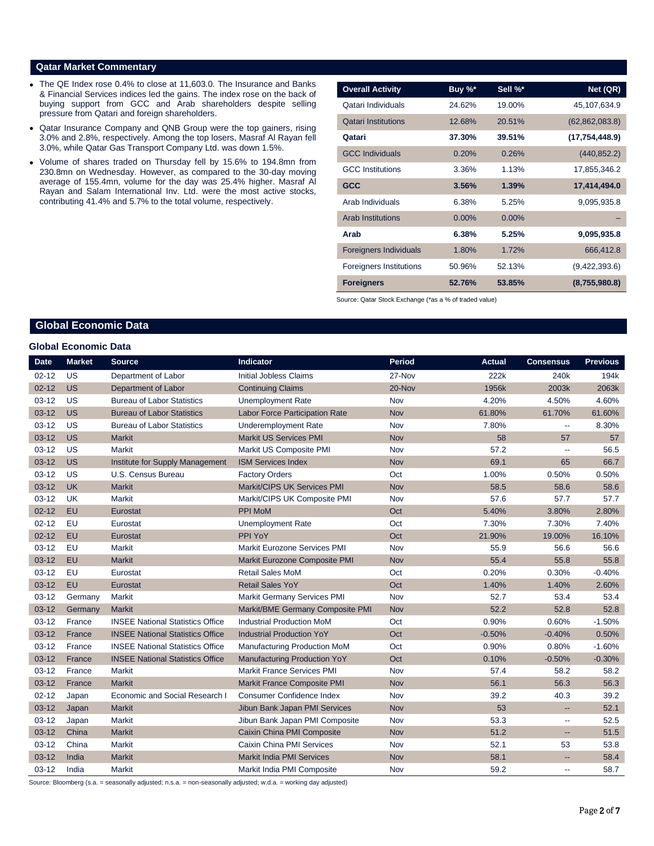### **Qatar Market Commentary**

- The QE Index rose 0.4% to close at 11,603.0. The Insurance and Banks & Financial Services indices led the gains. The index rose on the back of buying support from GCC and Arab shareholders despite selling pressure from Qatari and foreign shareholders.
- Qatar Insurance Company and QNB Group were the top gainers, rising 3.0% and 2.8%, respectively. Among the top losers, Masraf Al Rayan fell 3.0%, while Qatar Gas Transport Company Ltd. was down 1.5%.
- Volume of shares traded on Thursday fell by 15.6% to 194.8mn from 230.8mn on Wednesday. However, as compared to the 30-day moving average of 155.4mn, volume for the day was 25.4% higher. Masraf Al Rayan and Salam International Inv. Ltd. were the most active stocks, contributing 41.4% and 5.7% to the total volume, respectively.

| <b>Overall Activity</b>        | Buy $\sqrt[6]{x^*}$ | Sell %*  | Net (QR)         |
|--------------------------------|---------------------|----------|------------------|
| Qatari Individuals             | 24.62%              | 19.00%   | 45,107,634.9     |
| <b>Qatari Institutions</b>     | 12.68%              | 20.51%   | (62, 862, 083.8) |
| Qatari                         | 37.30%              | 39.51%   | (17, 754, 448.9) |
| <b>GCC Individuals</b>         | 0.20%               | 0.26%    | (440, 852.2)     |
| <b>GCC</b> Institutions        | 3.36%               | 1.13%    | 17,855,346.2     |
| <b>GCC</b>                     | 3.56%               | 1.39%    | 17,414,494.0     |
| Arab Individuals               | 6.38%               | 5.25%    | 9,095,935.8      |
| <b>Arab Institutions</b>       | $0.00\%$            | $0.00\%$ |                  |
| Arab                           | 6.38%               | 5.25%    | 9,095,935.8      |
| <b>Foreigners Individuals</b>  | 1.80%               | 1.72%    | 666,412.8        |
| <b>Foreigners Institutions</b> | 50.96%              | 52.13%   | (9,422,393.6)    |
| <b>Foreigners</b>              | 52.76%              | 53.85%   | (8,755,980.8)    |

Source: Qatar Stock Exchange (\*as a % of traded value)

# **Global Economic Data**

#### **Global Economic Data**

| <b>Date</b> | <b>Market</b> | <b>Source</b>                           | Indicator                             | <b>Period</b> | <b>Actual</b> | <b>Consensus</b>         | <b>Previous</b> |
|-------------|---------------|-----------------------------------------|---------------------------------------|---------------|---------------|--------------------------|-----------------|
| $02 - 12$   | <b>US</b>     | Department of Labor                     | <b>Initial Jobless Claims</b>         | 27-Nov        | 222k          | 240 <sub>k</sub>         | 194k            |
| $02 - 12$   | <b>US</b>     | <b>Department of Labor</b>              | <b>Continuing Claims</b>              | 20-Nov        | 1956k         | 2003k                    | 2063k           |
| $03-12$     | US            | <b>Bureau of Labor Statistics</b>       | <b>Unemployment Rate</b>              | Nov           | 4.20%         | 4.50%                    | 4.60%           |
| $03 - 12$   | <b>US</b>     | <b>Bureau of Labor Statistics</b>       | <b>Labor Force Participation Rate</b> | <b>Nov</b>    | 61.80%        | 61.70%                   | 61.60%          |
| $03-12$     | US            | <b>Bureau of Labor Statistics</b>       | <b>Underemployment Rate</b>           | Nov           | 7.80%         | $\overline{\phantom{a}}$ | 8.30%           |
| $03 - 12$   | <b>US</b>     | <b>Markit</b>                           | <b>Markit US Services PMI</b>         | <b>Nov</b>    | 58            | 57                       | 57              |
| $03 - 12$   | US            | <b>Markit</b>                           | Markit US Composite PMI               | Nov           | 57.2          | $\mathbf{u}$             | 56.5            |
| $03-12$     | <b>US</b>     | Institute for Supply Management         | <b>ISM Services Index</b>             | <b>Nov</b>    | 69.1          | 65                       | 66.7            |
| $03-12$     | US            | U.S. Census Bureau                      | <b>Factory Orders</b>                 | Oct           | 1.00%         | 0.50%                    | 0.50%           |
| $03 - 12$   | <b>UK</b>     | <b>Markit</b>                           | Markit/CIPS UK Services PMI           | <b>Nov</b>    | 58.5          | 58.6                     | 58.6            |
| $03-12$     | <b>UK</b>     | Markit                                  | Markit/CIPS UK Composite PMI          | Nov           | 57.6          | 57.7                     | 57.7            |
| $02 - 12$   | EU            | Eurostat                                | <b>PPI MoM</b>                        | Oct           | 5.40%         | 3.80%                    | 2.80%           |
| $02 - 12$   | EU            | Eurostat                                | <b>Unemployment Rate</b>              | Oct           | 7.30%         | 7.30%                    | 7.40%           |
| $02 - 12$   | EU            | Eurostat                                | PPI YoY                               | Oct           | 21.90%        | 19.00%                   | 16.10%          |
| $03-12$     | EU            | Markit                                  | Markit Eurozone Services PMI          | Nov           | 55.9          | 56.6                     | 56.6            |
| $03 - 12$   | EU            | <b>Markit</b>                           | Markit Eurozone Composite PMI         | <b>Nov</b>    | 55.4          | 55.8                     | 55.8            |
| $03-12$     | EU            | Eurostat                                | <b>Retail Sales MoM</b>               | Oct           | 0.20%         | 0.30%                    | $-0.40%$        |
| $03 - 12$   | <b>EU</b>     | Eurostat                                | <b>Retail Sales YoY</b>               | Oct           | 1.40%         | 1.40%                    | 2.60%           |
| $03-12$     | Germany       | Markit                                  | <b>Markit Germany Services PMI</b>    | Nov           | 52.7          | 53.4                     | 53.4            |
| $03 - 12$   | Germany       | <b>Markit</b>                           | Markit/BME Germany Composite PMI      | <b>Nov</b>    | 52.2          | 52.8                     | 52.8            |
| $03-12$     | France        | <b>INSEE National Statistics Office</b> | <b>Industrial Production MoM</b>      | Oct           | 0.90%         | 0.60%                    | $-1.50%$        |
| $03 - 12$   | France        | <b>INSEE National Statistics Office</b> | <b>Industrial Production YoY</b>      | Oct           | $-0.50%$      | $-0.40%$                 | 0.50%           |
| $03 - 12$   | France        | <b>INSEE National Statistics Office</b> | Manufacturing Production MoM          | Oct           | 0.90%         | 0.80%                    | $-1.60%$        |
| $03 - 12$   | France        | <b>INSEE National Statistics Office</b> | <b>Manufacturing Production YoY</b>   | Oct           | 0.10%         | $-0.50%$                 | $-0.30%$        |
| $03-12$     | France        | Markit                                  | <b>Markit France Services PMI</b>     | Nov           | 57.4          | 58.2                     | 58.2            |
| $03-12$     | France        | <b>Markit</b>                           | <b>Markit France Composite PMI</b>    | <b>Nov</b>    | 56.1          | 56.3                     | 56.3            |
| $02 - 12$   | Japan         | Economic and Social Research I          | <b>Consumer Confidence Index</b>      | Nov           | 39.2          | 40.3                     | 39.2            |
| $03 - 12$   | Japan         | <b>Markit</b>                           | Jibun Bank Japan PMI Services         | Nov           | 53            | н.                       | 52.1            |
| $03-12$     | Japan         | <b>Markit</b>                           | Jibun Bank Japan PMI Composite        | Nov           | 53.3          | ٠.                       | 52.5            |
| $03-12$     | China         | <b>Markit</b>                           | Caixin China PMI Composite            | <b>Nov</b>    | 51.2          | $\overline{\phantom{a}}$ | 51.5            |
| $03-12$     | China         | Markit                                  | Caixin China PMI Services             | Nov           | 52.1          | 53                       | 53.8            |
| $03 - 12$   | India         | <b>Markit</b>                           | <b>Markit India PMI Services</b>      | <b>Nov</b>    | 58.1          | $\overline{a}$           | 58.4            |
| $03-12$     | India         | <b>Markit</b>                           | Markit India PMI Composite            | Nov           | 59.2          | $\sim$                   | 58.7            |

Source: Bloomberg (s.a. = seasonally adjusted; n.s.a. = non-seasonally adjusted; w.d.a. = working day adjusted)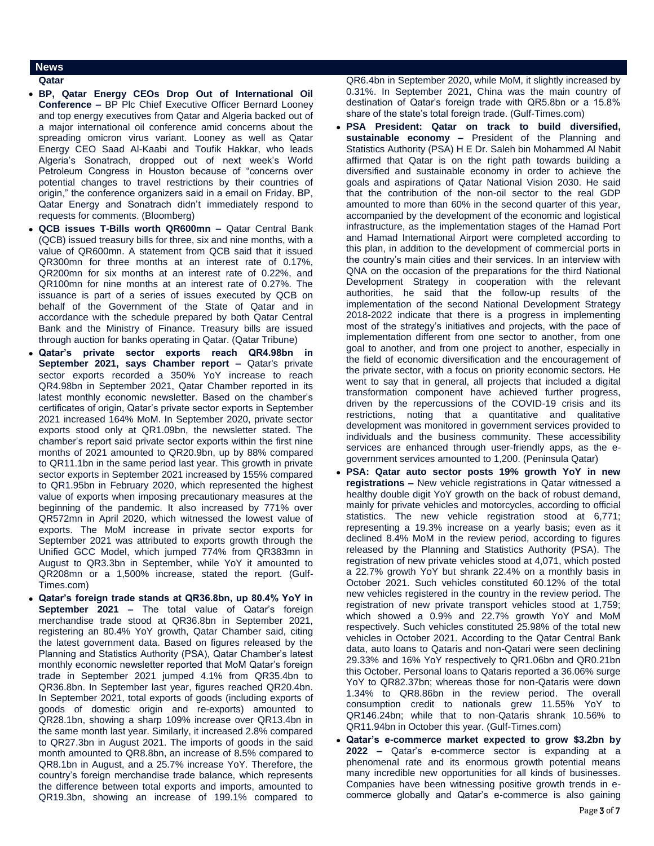# **News**

## **Qatar**

- **BP, Qatar Energy CEOs Drop Out of International Oil Conference –** BP Plc Chief Executive Officer Bernard Looney and top energy executives from Qatar and Algeria backed out of a major international oil conference amid concerns about the spreading omicron virus variant. Looney as well as Qatar Energy CEO Saad Al-Kaabi and Toufik Hakkar, who leads Algeria's Sonatrach, dropped out of next week's World Petroleum Congress in Houston because of "concerns over potential changes to travel restrictions by their countries of origin," the conference organizers said in a email on Friday. BP, Qatar Energy and Sonatrach didn't immediately respond to requests for comments. (Bloomberg)
- **QCB issues T-Bills worth QR600mn –** Qatar Central Bank (QCB) issued treasury bills for three, six and nine months, with a value of QR600mn. A statement from QCB said that it issued QR300mn for three months at an interest rate of 0.17%, QR200mn for six months at an interest rate of 0.22%, and QR100mn for nine months at an interest rate of 0.27%. The issuance is part of a series of issues executed by QCB on behalf of the Government of the State of Qatar and in accordance with the schedule prepared by both Qatar Central Bank and the Ministry of Finance. Treasury bills are issued through auction for banks operating in Qatar. (Qatar Tribune)
- **Qatar's private sector exports reach QR4.98bn in September 2021, says Chamber report –** Qatar's private sector exports recorded a 350% YoY increase to reach QR4.98bn in September 2021, Qatar Chamber reported in its latest monthly economic newsletter. Based on the chamber's certificates of origin, Qatar's private sector exports in September 2021 increased 164% MoM. In September 2020, private sector exports stood only at QR1.09bn, the newsletter stated. The chamber's report said private sector exports within the first nine months of 2021 amounted to QR20.9bn, up by 88% compared to QR11.1bn in the same period last year. This growth in private sector exports in September 2021 increased by 155% compared to QR1.95bn in February 2020, which represented the highest value of exports when imposing precautionary measures at the beginning of the pandemic. It also increased by 771% over QR572mn in April 2020, which witnessed the lowest value of exports. The MoM increase in private sector exports for September 2021 was attributed to exports growth through the Unified GCC Model, which jumped 774% from QR383mn in August to QR3.3bn in September, while YoY it amounted to QR208mn or a 1,500% increase, stated the report. (Gulf-Times.com)
- **Qatar's foreign trade stands at QR36.8bn, up 80.4% YoY in September 2021 –** The total value of Qatar's foreign merchandise trade stood at QR36.8bn in September 2021, registering an 80.4% YoY growth, Qatar Chamber said, citing the latest government data. Based on figures released by the Planning and Statistics Authority (PSA), Qatar Chamber's latest monthly economic newsletter reported that MoM Qatar's foreign trade in September 2021 jumped 4.1% from QR35.4bn to QR36.8bn. In September last year, figures reached QR20.4bn. In September 2021, total exports of goods (including exports of goods of domestic origin and re-exports) amounted to QR28.1bn, showing a sharp 109% increase over QR13.4bn in the same month last year. Similarly, it increased 2.8% compared to QR27.3bn in August 2021. The imports of goods in the said month amounted to QR8.8bn, an increase of 8.5% compared to QR8.1bn in August, and a 25.7% increase YoY. Therefore, the country's foreign merchandise trade balance, which represents the difference between total exports and imports, amounted to QR19.3bn, showing an increase of 199.1% compared to

QR6.4bn in September 2020, while MoM, it slightly increased by 0.31%. In September 2021, China was the main country of destination of Qatar's foreign trade with QR5.8bn or a 15.8% share of the state's total foreign trade. (Gulf-Times.com)

- **PSA President: Qatar on track to build diversified, sustainable economy –** President of the Planning and Statistics Authority (PSA) H E Dr. Saleh bin Mohammed Al Nabit affirmed that Qatar is on the right path towards building a diversified and sustainable economy in order to achieve the goals and aspirations of Qatar National Vision 2030. He said that the contribution of the non-oil sector to the real GDP amounted to more than 60% in the second quarter of this year, accompanied by the development of the economic and logistical infrastructure, as the implementation stages of the Hamad Port and Hamad International Airport were completed according to this plan, in addition to the development of commercial ports in the country's main cities and their services. In an interview with QNA on the occasion of the preparations for the third National Development Strategy in cooperation with the relevant authorities, he said that the follow-up results of the implementation of the second National Development Strategy 2018-2022 indicate that there is a progress in implementing most of the strategy's initiatives and projects, with the pace of implementation different from one sector to another, from one goal to another, and from one project to another, especially in the field of economic diversification and the encouragement of the private sector, with a focus on priority economic sectors. He went to say that in general, all projects that included a digital transformation component have achieved further progress, driven by the repercussions of the COVID-19 crisis and its restrictions, noting that a quantitative and qualitative development was monitored in government services provided to individuals and the business community. These accessibility services are enhanced through user-friendly apps, as the egovernment services amounted to 1,200. (Peninsula Qatar)
- **PSA: Qatar auto sector posts 19% growth YoY in new registrations –** New vehicle registrations in Qatar witnessed a healthy double digit YoY growth on the back of robust demand, mainly for private vehicles and motorcycles, according to official statistics. The new vehicle registration stood at 6,771; representing a 19.3% increase on a yearly basis; even as it declined 8.4% MoM in the review period, according to figures released by the Planning and Statistics Authority (PSA). The registration of new private vehicles stood at 4,071, which posted a 22.7% growth YoY but shrank 22.4% on a monthly basis in October 2021. Such vehicles constituted 60.12% of the total new vehicles registered in the country in the review period. The registration of new private transport vehicles stood at 1,759; which showed a 0.9% and 22.7% growth YoY and MoM respectively. Such vehicles constituted 25.98% of the total new vehicles in October 2021. According to the Qatar Central Bank data, auto loans to Qataris and non-Qatari were seen declining 29.33% and 16% YoY respectively to QR1.06bn and QR0.21bn this October. Personal loans to Qataris reported a 36.06% surge YoY to QR82.37bn; whereas those for non-Qataris were down 1.34% to QR8.86bn in the review period. The overall consumption credit to nationals grew 11.55% YoY to QR146.24bn; while that to non-Qataris shrank 10.56% to QR11.94bn in October this year. (Gulf-Times.com)
- **Qatar's e-commerce market expected to grow \$3.2bn by 2022 –** Qatar's e-commerce sector is expanding at a phenomenal rate and its enormous growth potential means many incredible new opportunities for all kinds of businesses. Companies have been witnessing positive growth trends in ecommerce globally and Qatar's e-commerce is also gaining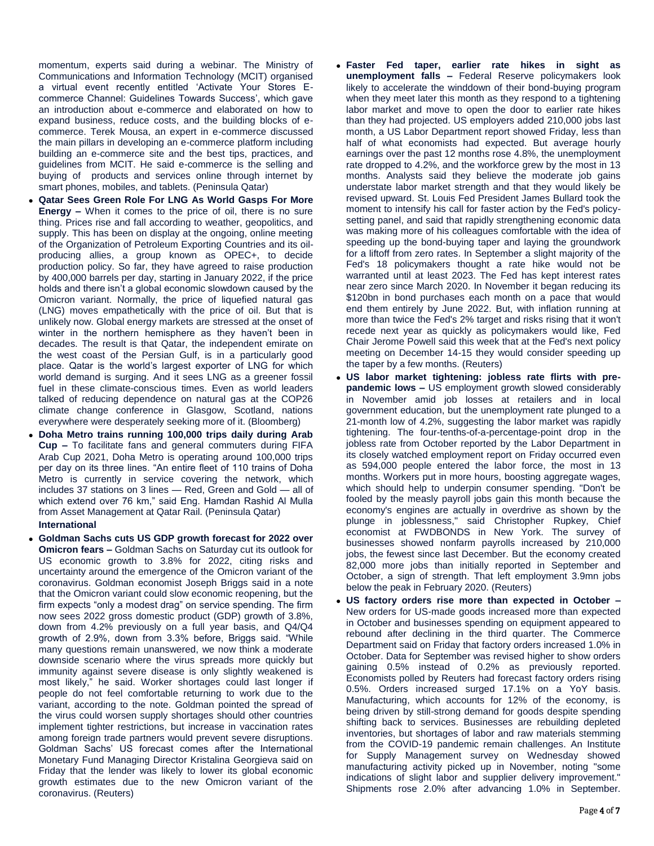momentum, experts said during a webinar. The Ministry of Communications and Information Technology (MCIT) organised a virtual event recently entitled 'Activate Your Stores Ecommerce Channel: Guidelines Towards Success', which gave an introduction about e-commerce and elaborated on how to expand business, reduce costs, and the building blocks of ecommerce. Terek Mousa, an expert in e-commerce discussed the main pillars in developing an e-commerce platform including building an e-commerce site and the best tips, practices, and guidelines from MCIT. He said e-commerce is the selling and buying of products and services online through internet by smart phones, mobiles, and tablets. (Peninsula Qatar)

- **Qatar Sees Green Role For LNG As World Gasps For More Energy –** When it comes to the price of oil, there is no sure thing. Prices rise and fall according to weather, geopolitics, and supply. This has been on display at the ongoing, online meeting of the Organization of Petroleum Exporting Countries and its oilproducing allies, a group known as OPEC+, to decide production policy. So far, they have agreed to raise production by 400,000 barrels per day, starting in January 2022, if the price holds and there isn't a global economic slowdown caused by the Omicron variant. Normally, the price of liquefied natural gas (LNG) moves empathetically with the price of oil. But that is unlikely now. Global energy markets are stressed at the onset of winter in the northern hemisphere as they haven't been in decades. The result is that Qatar, the independent emirate on the west coast of the Persian Gulf, is in a particularly good place. Qatar is the world's largest exporter of LNG for which world demand is surging. And it sees LNG as a greener fossil fuel in these climate-conscious times. Even as world leaders talked of reducing dependence on natural gas at the COP26 climate change conference in Glasgow, Scotland, nations everywhere were desperately seeking more of it. (Bloomberg)
- **Doha Metro trains running 100,000 trips daily during Arab Cup –** To facilitate fans and general commuters during FIFA Arab Cup 2021, Doha Metro is operating around 100,000 trips per day on its three lines. "An entire fleet of 110 trains of Doha Metro is currently in service covering the network, which includes 37 stations on 3 lines — Red, Green and Gold — all of which extend over 76 km," said Eng. Hamdan Rashid Al Mulla from Asset Management at Qatar Rail. (Peninsula Qatar)

# **International**

 **Goldman Sachs cuts US GDP growth forecast for 2022 over Omicron fears –** Goldman Sachs on Saturday cut its outlook for US economic growth to 3.8% for 2022, citing risks and uncertainty around the emergence of the Omicron variant of the coronavirus. Goldman economist Joseph Briggs said in a note that the Omicron variant could slow economic reopening, but the firm expects "only a modest drag" on service spending. The firm now sees 2022 gross domestic product (GDP) growth of 3.8%, down from 4.2% previously on a full year basis, and Q4/Q4 growth of 2.9%, down from 3.3% before, Briggs said. "While many questions remain unanswered, we now think a moderate downside scenario where the virus spreads more quickly but immunity against severe disease is only slightly weakened is most likely," he said. Worker shortages could last longer if people do not feel comfortable returning to work due to the variant, according to the note. Goldman pointed the spread of the virus could worsen supply shortages should other countries implement tighter restrictions, but increase in vaccination rates among foreign trade partners would prevent severe disruptions. Goldman Sachs' US forecast comes after the International Monetary Fund Managing Director Kristalina Georgieva said on Friday that the lender was likely to lower its global economic growth estimates due to the new Omicron variant of the coronavirus. (Reuters)

- **Faster Fed taper, earlier rate hikes in sight as unemployment falls –** Federal Reserve policymakers look likely to accelerate the winddown of their bond-buying program when they meet later this month as they respond to a tightening labor market and move to open the door to earlier rate hikes than they had projected. US employers added 210,000 jobs last month, a US Labor Department report showed Friday, less than half of what economists had expected. But average hourly earnings over the past 12 months rose 4.8%, the unemployment rate dropped to 4.2%, and the workforce grew by the most in 13 months. Analysts said they believe the moderate job gains understate labor market strength and that they would likely be revised upward. St. Louis Fed President James Bullard took the moment to intensify his call for faster action by the Fed's policysetting panel, and said that rapidly strengthening economic data was making more of his colleagues comfortable with the idea of speeding up the bond-buying taper and laying the groundwork for a liftoff from zero rates. In September a slight majority of the Fed's 18 policymakers thought a rate hike would not be warranted until at least 2023. The Fed has kept interest rates near zero since March 2020. In November it began reducing its \$120bn in bond purchases each month on a pace that would end them entirely by June 2022. But, with inflation running at more than twice the Fed's 2% target and risks rising that it won't recede next year as quickly as policymakers would like, Fed Chair Jerome Powell said this week that at the Fed's next policy meeting on December 14-15 they would consider speeding up the taper by a few months. (Reuters)
- **US labor market tightening: jobless rate flirts with prepandemic lows –** US employment growth slowed considerably in November amid job losses at retailers and in local government education, but the unemployment rate plunged to a 21-month low of 4.2%, suggesting the labor market was rapidly tightening. The four-tenths-of-a-percentage-point drop in the jobless rate from October reported by the Labor Department in its closely watched employment report on Friday occurred even as 594,000 people entered the labor force, the most in 13 months. Workers put in more hours, boosting aggregate wages, which should help to underpin consumer spending. "Don't be fooled by the measly payroll jobs gain this month because the economy's engines are actually in overdrive as shown by the plunge in joblessness," said Christopher Rupkey, Chief economist at FWDBONDS in New York. The survey of businesses showed nonfarm payrolls increased by 210,000 jobs, the fewest since last December. But the economy created 82,000 more jobs than initially reported in September and October, a sign of strength. That left employment 3.9mn jobs below the peak in February 2020. (Reuters)
- **US factory orders rise more than expected in October –** New orders for US-made goods increased more than expected in October and businesses spending on equipment appeared to rebound after declining in the third quarter. The Commerce Department said on Friday that factory orders increased 1.0% in October. Data for September was revised higher to show orders gaining 0.5% instead of 0.2% as previously reported. Economists polled by Reuters had forecast factory orders rising 0.5%. Orders increased surged 17.1% on a YoY basis. Manufacturing, which accounts for 12% of the economy, is being driven by still-strong demand for goods despite spending shifting back to services. Businesses are rebuilding depleted inventories, but shortages of labor and raw materials stemming from the COVID-19 pandemic remain challenges. An Institute for Supply Management survey on Wednesday showed manufacturing activity picked up in November, noting "some indications of slight labor and supplier delivery improvement." Shipments rose 2.0% after advancing 1.0% in September.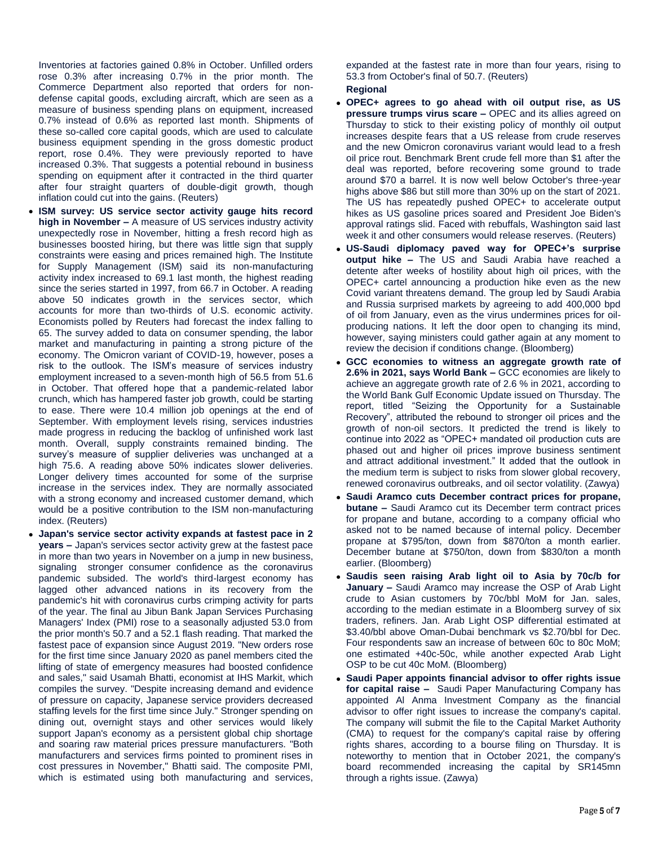Inventories at factories gained 0.8% in October. Unfilled orders rose 0.3% after increasing 0.7% in the prior month. The Commerce Department also reported that orders for nondefense capital goods, excluding aircraft, which are seen as a measure of business spending plans on equipment, increased 0.7% instead of 0.6% as reported last month. Shipments of these so-called core capital goods, which are used to calculate business equipment spending in the gross domestic product report, rose 0.4%. They were previously reported to have increased 0.3%. That suggests a potential rebound in business spending on equipment after it contracted in the third quarter after four straight quarters of double-digit growth, though inflation could cut into the gains. (Reuters)

- **ISM survey: US service sector activity gauge hits record high in November –** A measure of US services industry activity unexpectedly rose in November, hitting a fresh record high as businesses boosted hiring, but there was little sign that supply constraints were easing and prices remained high. The Institute for Supply Management (ISM) said its non-manufacturing activity index increased to 69.1 last month, the highest reading since the series started in 1997, from 66.7 in October. A reading above 50 indicates growth in the services sector, which accounts for more than two-thirds of U.S. economic activity. Economists polled by Reuters had forecast the index falling to 65. The survey added to data on consumer spending, the labor market and manufacturing in painting a strong picture of the economy. The Omicron variant of COVID-19, however, poses a risk to the outlook. The ISM's measure of services industry employment increased to a seven-month high of 56.5 from 51.6 in October. That offered hope that a pandemic-related labor crunch, which has hampered faster job growth, could be starting to ease. There were 10.4 million job openings at the end of September. With employment levels rising, services industries made progress in reducing the backlog of unfinished work last month. Overall, supply constraints remained binding. The survey's measure of supplier deliveries was unchanged at a high 75.6. A reading above 50% indicates slower deliveries. Longer delivery times accounted for some of the surprise increase in the services index. They are normally associated with a strong economy and increased customer demand, which would be a positive contribution to the ISM non-manufacturing index. (Reuters)
- **Japan's service sector activity expands at fastest pace in 2 years –** Japan's services sector activity grew at the fastest pace in more than two years in November on a jump in new business, signaling stronger consumer confidence as the coronavirus pandemic subsided. The world's third-largest economy has lagged other advanced nations in its recovery from the pandemic's hit with coronavirus curbs crimping activity for parts of the year. The final au Jibun Bank Japan Services Purchasing Managers' Index (PMI) rose to a seasonally adjusted 53.0 from the prior month's 50.7 and a 52.1 flash reading. That marked the fastest pace of expansion since August 2019. "New orders rose for the first time since January 2020 as panel members cited the lifting of state of emergency measures had boosted confidence and sales," said Usamah Bhatti, economist at IHS Markit, which compiles the survey. "Despite increasing demand and evidence of pressure on capacity, Japanese service providers decreased staffing levels for the first time since July." Stronger spending on dining out, overnight stays and other services would likely support Japan's economy as a persistent global chip shortage and soaring raw material prices pressure manufacturers. "Both manufacturers and services firms pointed to prominent rises in cost pressures in November," Bhatti said. The composite PMI, which is estimated using both manufacturing and services,

expanded at the fastest rate in more than four years, rising to 53.3 from October's final of 50.7. (Reuters) **Regional**

- **OPEC+ agrees to go ahead with oil output rise, as US pressure trumps virus scare –** OPEC and its allies agreed on Thursday to stick to their existing policy of monthly oil output increases despite fears that a US release from crude reserves and the new Omicron coronavirus variant would lead to a fresh oil price rout. Benchmark Brent crude fell more than \$1 after the deal was reported, before recovering some ground to trade around \$70 a barrel. It is now well below October's three-year highs above \$86 but still more than 30% up on the start of 2021. The US has repeatedly pushed OPEC+ to accelerate output hikes as US gasoline prices soared and President Joe Biden's approval ratings slid. Faced with rebuffals, Washington said last week it and other consumers would release reserves. (Reuters)
- **US-Saudi diplomacy paved way for OPEC+'s surprise output hike –** The US and Saudi Arabia have reached a detente after weeks of hostility about high oil prices, with the OPEC+ cartel announcing a production hike even as the new Covid variant threatens demand. The group led by Saudi Arabia and Russia surprised markets by agreeing to add 400,000 bpd of oil from January, even as the virus undermines prices for oilproducing nations. It left the door open to changing its mind, however, saying ministers could gather again at any moment to review the decision if conditions change. (Bloomberg)
- **GCC economies to witness an aggregate growth rate of 2.6% in 2021, says World Bank –** GCC economies are likely to achieve an aggregate growth rate of 2.6 % in 2021, according to the World Bank Gulf Economic Update issued on Thursday. The report, titled "Seizing the Opportunity for a Sustainable Recovery", attributed the rebound to stronger oil prices and the growth of non-oil sectors. It predicted the trend is likely to continue into 2022 as "OPEC+ mandated oil production cuts are phased out and higher oil prices improve business sentiment and attract additional investment." It added that the outlook in the medium term is subject to risks from slower global recovery, renewed coronavirus outbreaks, and oil sector volatility. (Zawya)
- **Saudi Aramco cuts December contract prices for propane, butane –** Saudi Aramco cut its December term contract prices for propane and butane, according to a company official who asked not to be named because of internal policy. December propane at \$795/ton, down from \$870/ton a month earlier. December butane at \$750/ton, down from \$830/ton a month earlier. (Bloomberg)
- **Saudis seen raising Arab light oil to Asia by 70c/b for January –** Saudi Aramco may increase the OSP of Arab Light crude to Asian customers by 70c/bbl MoM for Jan. sales, according to the median estimate in a Bloomberg survey of six traders, refiners. Jan. Arab Light OSP differential estimated at \$3.40/bbl above Oman-Dubai benchmark vs \$2.70/bbl for Dec. Four respondents saw an increase of between 60c to 80c MoM; one estimated +40c-50c, while another expected Arab Light OSP to be cut 40c MoM. (Bloomberg)
- **Saudi Paper appoints financial advisor to offer rights issue for capital raise –** Saudi Paper Manufacturing Company has appointed Al Anma Investment Company as the financial advisor to offer right issues to increase the company's capital. The company will submit the file to the Capital Market Authority (CMA) to request for the company's capital raise by offering rights shares, according to a bourse filing on Thursday. It is noteworthy to mention that in October 2021, the company's board recommended increasing the capital by SR145mn through a rights issue. (Zawya)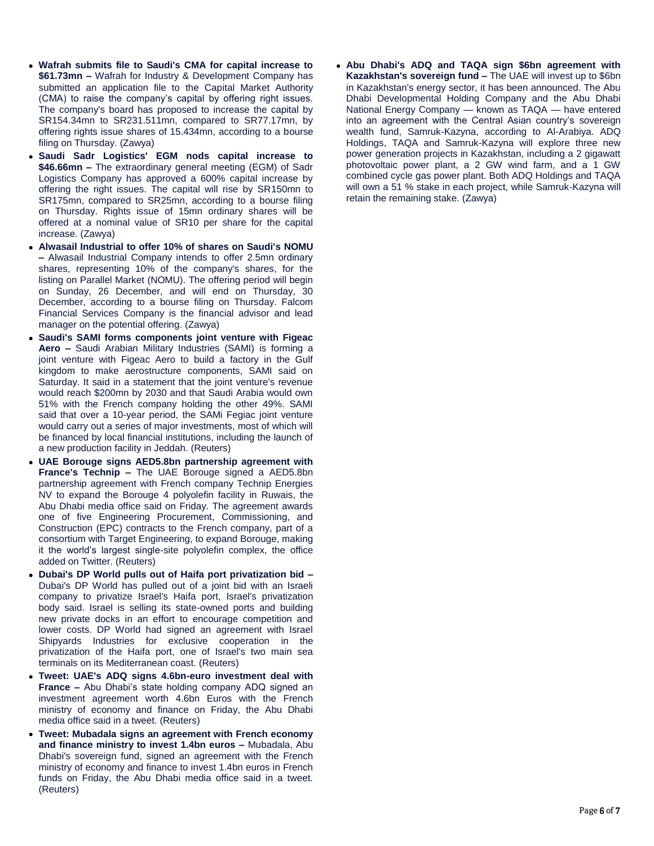- **Wafrah submits file to Saudi's CMA for capital increase to \$61.73mn –** Wafrah for Industry & Development Company has submitted an application file to the Capital Market Authority (CMA) to raise the company's capital by offering right issues. The company's board has proposed to increase the capital by SR154.34mn to SR231.511mn, compared to SR77.17mn, by offering rights issue shares of 15.434mn, according to a bourse filing on Thursday. (Zawya)
- **Saudi Sadr Logistics' EGM nods capital increase to \$46.66mn –** The extraordinary general meeting (EGM) of Sadr Logistics Company has approved a 600% capital increase by offering the right issues. The capital will rise by SR150mn to SR175mn, compared to SR25mn, according to a bourse filing on Thursday. Rights issue of 15mn ordinary shares will be offered at a nominal value of SR10 per share for the capital increase. (Zawya)
- **Alwasail Industrial to offer 10% of shares on Saudi's NOMU –** Alwasail Industrial Company intends to offer 2.5mn ordinary shares, representing 10% of the company's shares, for the listing on Parallel Market (NOMU). The offering period will begin on Sunday, 26 December, and will end on Thursday, 30 December, according to a bourse filing on Thursday. Falcom Financial Services Company is the financial advisor and lead manager on the potential offering. (Zawya)
- **Saudi's SAMI forms components joint venture with Figeac Aero –** Saudi Arabian Military Industries (SAMI) is forming a joint venture with Figeac Aero to build a factory in the Gulf kingdom to make aerostructure components, SAMI said on Saturday. It said in a statement that the joint venture's revenue would reach \$200mn by 2030 and that Saudi Arabia would own 51% with the French company holding the other 49%. SAMI said that over a 10-year period, the SAMi Fegiac joint venture would carry out a series of major investments, most of which will be financed by local financial institutions, including the launch of a new production facility in Jeddah. (Reuters)
- **UAE Borouge signs AED5.8bn partnership agreement with France's Technip –** The UAE Borouge signed a AED5.8bn partnership agreement with French company Technip Energies NV to expand the Borouge 4 polyolefin facility in Ruwais, the Abu Dhabi media office said on Friday. The agreement awards one of five Engineering Procurement, Commissioning, and Construction (EPC) contracts to the French company, part of a consortium with Target Engineering, to expand Borouge, making it the world's largest single-site polyolefin complex, the office added on Twitter. (Reuters)
- **Dubai's DP World pulls out of Haifa port privatization bid –** Dubai's DP World has pulled out of a joint bid with an Israeli company to privatize Israel's Haifa port, Israel's privatization body said. Israel is selling its state-owned ports and building new private docks in an effort to encourage competition and lower costs. DP World had signed an agreement with Israel Shipyards Industries for exclusive cooperation in the privatization of the Haifa port, one of Israel's two main sea terminals on its Mediterranean coast. (Reuters)
- **Tweet: UAE's ADQ signs 4.6bn-euro investment deal with France –** Abu Dhabi's state holding company ADQ signed an investment agreement worth 4.6bn Euros with the French ministry of economy and finance on Friday, the Abu Dhabi media office said in a tweet. (Reuters)
- **Tweet: Mubadala signs an agreement with French economy and finance ministry to invest 1.4bn euros –** Mubadala, Abu Dhabi's sovereign fund, signed an agreement with the French ministry of economy and finance to invest 1.4bn euros in French funds on Friday, the Abu Dhabi media office said in a tweet. (Reuters)

 **Abu Dhabi's ADQ and TAQA sign \$6bn agreement with Kazakhstan's sovereign fund –** The UAE will invest up to \$6bn in Kazakhstan's energy sector, it has been announced. The Abu Dhabi Developmental Holding Company and the Abu Dhabi National Energy Company — known as TAQA — have entered into an agreement with the Central Asian country's sovereign wealth fund, Samruk-Kazyna, according to Al-Arabiya. ADQ Holdings, TAQA and Samruk-Kazyna will explore three new power generation projects in Kazakhstan, including a 2 gigawatt photovoltaic power plant, a 2 GW wind farm, and a 1 GW combined cycle gas power plant. Both ADQ Holdings and TAQA will own a 51 % stake in each project, while Samruk-Kazyna will retain the remaining stake. (Zawya)